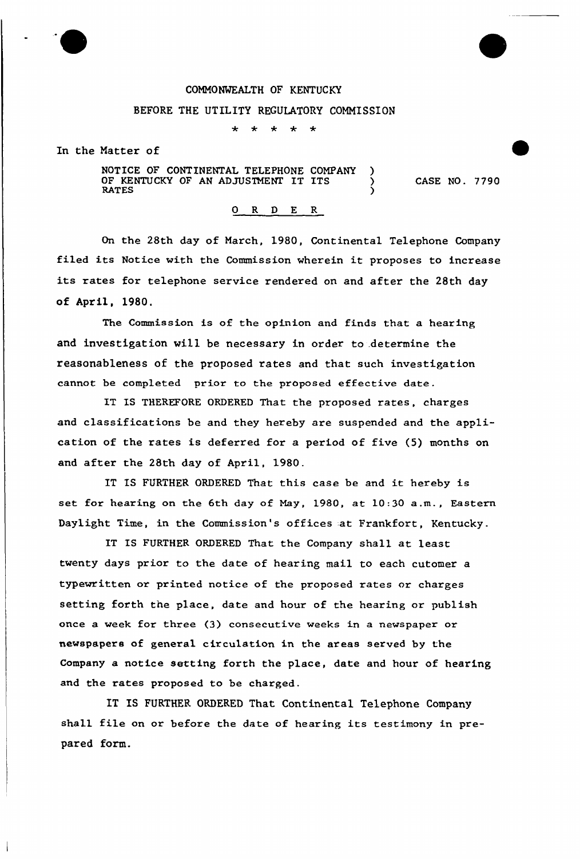## COMMONWEALTH OF KENTUCKY

## BEFORE THE UTILITY REGULATORY COMMISSION

 $\star$ 

In the Matter of

NOTICE OF CONTINENTAL TELEPHONE COMPANY )<br>OF KENTUCKY OF AN ADJUSTMENT IT ITS OF KENTUCKY OF AN ADJUSTMENT IT ITS<br>RATES example. The contract of the contract of the contract of the contract of the contract of the contract of the contract of the contract of the contract of the contract of the contract of the contract of the contract of the c CASE NO. 7790

## 0 R <sup>D</sup> E R

On the 28th day of March, 1980, Continental Telephone Company filed its Notice with the Commission wherein it proposes to increase its rates for telephone service rendered on and after the 28th day of April, 1980.

The Commission is of the opinion and finds that a hearing and investigation will be necessary in order to .determine the reasonableness of the proposed rates and that such investigation cannot be completed prior to the proposed effective date.

IT IS THEREFORE ORDERED That the proposed rates, charges and classifications be and they hereby are suspended and the application of the rates is deferred for a period of five {5) months on and after the 28th day of Apxil, 1980.

IT IS FURTHER ORDERED That this case be and it hereby is set for hearing on the 6th day of May, 1980, at 10:30 a.m., Eastern Daylight Time, in the Commission's offices at Frankfort, Kentucky.

IT IS FURTHER ORDERED That the Company shall at least twenty days prior to the date of hearing mail to each cutomer a typewritten or printed notice of the proposed rates or charges setting forth the place, date and hour of the hearing or publish once a week for three (3) consecutive weeks in a newspaper or newspapers of general circulation in the areas served by the Company a notice setting forth the place, date and hour of hearing and the rates proposed to be charged.

IT IS FURTHER ORDERED That Continental Telephone Company shall file on or before the date of hearing its testimony in prepared form.